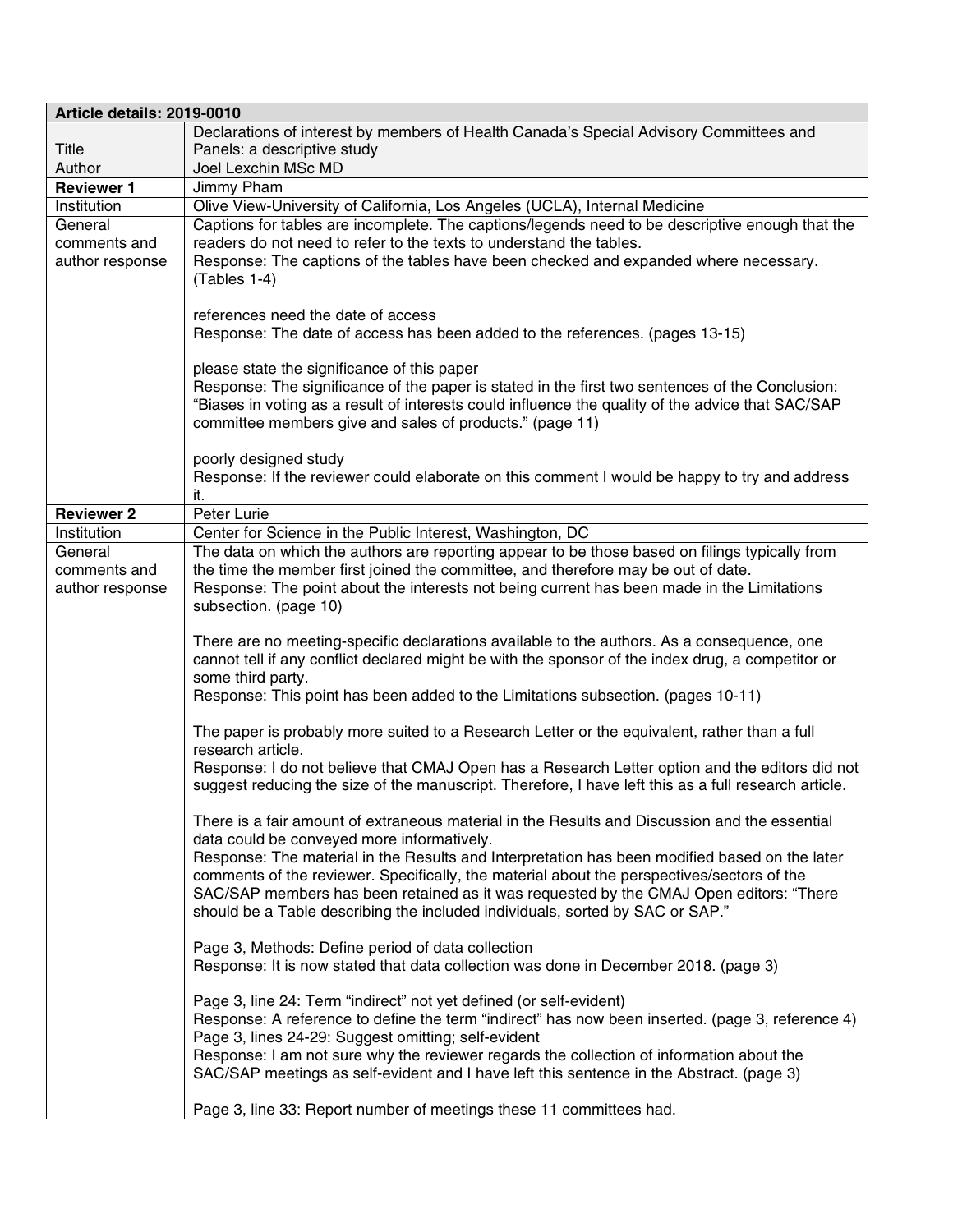| Article details: 2019-0010 |                                                                                                                                                                                      |  |
|----------------------------|--------------------------------------------------------------------------------------------------------------------------------------------------------------------------------------|--|
|                            | Declarations of interest by members of Health Canada's Special Advisory Committees and                                                                                               |  |
| Title                      | Panels: a descriptive study                                                                                                                                                          |  |
| Author                     | Joel Lexchin MSc MD                                                                                                                                                                  |  |
| <b>Reviewer 1</b>          | Jimmy Pham                                                                                                                                                                           |  |
| Institution                | Olive View-University of California, Los Angeles (UCLA), Internal Medicine                                                                                                           |  |
| General                    | Captions for tables are incomplete. The captions/legends need to be descriptive enough that the                                                                                      |  |
| comments and               | readers do not need to refer to the texts to understand the tables.                                                                                                                  |  |
| author response            | Response: The captions of the tables have been checked and expanded where necessary.                                                                                                 |  |
|                            | (Tables 1-4)                                                                                                                                                                         |  |
|                            | references need the date of access                                                                                                                                                   |  |
|                            | Response: The date of access has been added to the references. (pages 13-15)                                                                                                         |  |
|                            |                                                                                                                                                                                      |  |
|                            | please state the significance of this paper                                                                                                                                          |  |
|                            | Response: The significance of the paper is stated in the first two sentences of the Conclusion:                                                                                      |  |
|                            | "Biases in voting as a result of interests could influence the quality of the advice that SAC/SAP                                                                                    |  |
|                            | committee members give and sales of products." (page 11)                                                                                                                             |  |
|                            |                                                                                                                                                                                      |  |
|                            | poorly designed study                                                                                                                                                                |  |
|                            | Response: If the reviewer could elaborate on this comment I would be happy to try and address<br>it.                                                                                 |  |
| <b>Reviewer 2</b>          | Peter Lurie                                                                                                                                                                          |  |
| Institution                | Center for Science in the Public Interest, Washington, DC                                                                                                                            |  |
| General                    | The data on which the authors are reporting appear to be those based on filings typically from                                                                                       |  |
| comments and               | the time the member first joined the committee, and therefore may be out of date.                                                                                                    |  |
| author response            | Response: The point about the interests not being current has been made in the Limitations                                                                                           |  |
|                            | subsection. (page 10)                                                                                                                                                                |  |
|                            |                                                                                                                                                                                      |  |
|                            | There are no meeting-specific declarations available to the authors. As a consequence, one                                                                                           |  |
|                            | cannot tell if any conflict declared might be with the sponsor of the index drug, a competitor or                                                                                    |  |
|                            | some third party.                                                                                                                                                                    |  |
|                            | Response: This point has been added to the Limitations subsection. (pages 10-11)                                                                                                     |  |
|                            | The paper is probably more suited to a Research Letter or the equivalent, rather than a full                                                                                         |  |
|                            | research article.                                                                                                                                                                    |  |
|                            | Response: I do not believe that CMAJ Open has a Research Letter option and the editors did not                                                                                       |  |
|                            | suggest reducing the size of the manuscript. Therefore, I have left this as a full research article.                                                                                 |  |
|                            |                                                                                                                                                                                      |  |
|                            | There is a fair amount of extraneous material in the Results and Discussion and the essential                                                                                        |  |
|                            | data could be conveyed more informatively.                                                                                                                                           |  |
|                            | Response: The material in the Results and Interpretation has been modified based on the later                                                                                        |  |
|                            | comments of the reviewer. Specifically, the material about the perspectives/sectors of the<br>SAC/SAP members has been retained as it was requested by the CMAJ Open editors: "There |  |
|                            | should be a Table describing the included individuals, sorted by SAC or SAP."                                                                                                        |  |
|                            |                                                                                                                                                                                      |  |
|                            | Page 3, Methods: Define period of data collection                                                                                                                                    |  |
|                            | Response: It is now stated that data collection was done in December 2018. (page 3)                                                                                                  |  |
|                            |                                                                                                                                                                                      |  |
|                            | Page 3, line 24: Term "indirect" not yet defined (or self-evident)                                                                                                                   |  |
|                            | Response: A reference to define the term "indirect" has now been inserted. (page 3, reference 4)                                                                                     |  |
|                            | Page 3, lines 24-29: Suggest omitting; self-evident                                                                                                                                  |  |
|                            | Response: I am not sure why the reviewer regards the collection of information about the<br>SAC/SAP meetings as self-evident and I have left this sentence in the Abstract. (page 3) |  |
|                            |                                                                                                                                                                                      |  |
|                            | Page 3, line 33: Report number of meetings these 11 committees had.                                                                                                                  |  |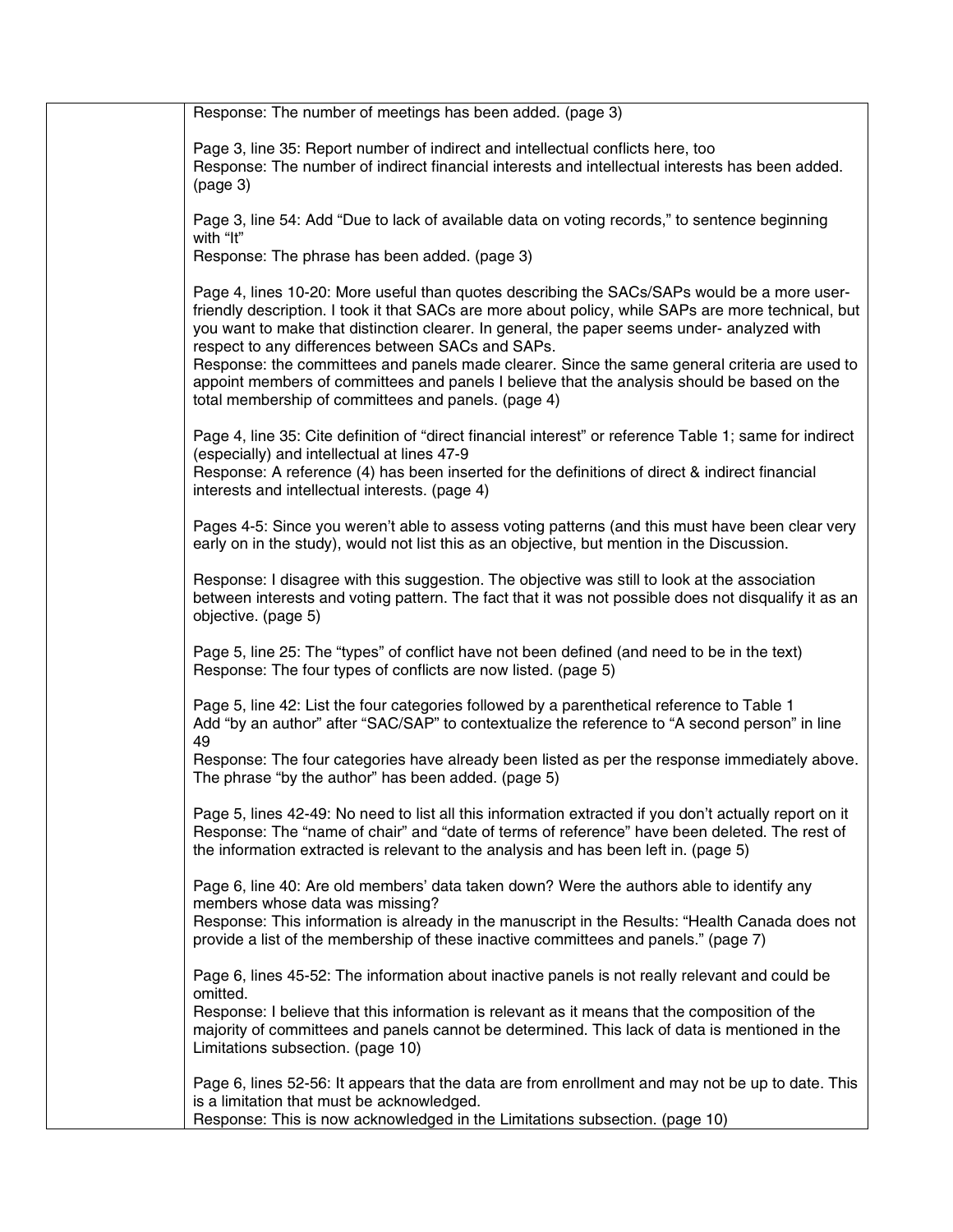| Response: The number of meetings has been added. (page 3)                                                                                                                                                                                                                                                                                              |
|--------------------------------------------------------------------------------------------------------------------------------------------------------------------------------------------------------------------------------------------------------------------------------------------------------------------------------------------------------|
| Page 3, line 35: Report number of indirect and intellectual conflicts here, too<br>Response: The number of indirect financial interests and intellectual interests has been added.<br>(page 3)                                                                                                                                                         |
| Page 3, line 54: Add "Due to lack of available data on voting records," to sentence beginning<br>with "It"                                                                                                                                                                                                                                             |
| Response: The phrase has been added. (page 3)                                                                                                                                                                                                                                                                                                          |
| Page 4, lines 10-20: More useful than quotes describing the SACs/SAPs would be a more user-<br>friendly description. I took it that SACs are more about policy, while SAPs are more technical, but<br>you want to make that distinction clearer. In general, the paper seems under- analyzed with<br>respect to any differences between SACs and SAPs. |
| Response: the committees and panels made clearer. Since the same general criteria are used to<br>appoint members of committees and panels I believe that the analysis should be based on the<br>total membership of committees and panels. (page 4)                                                                                                    |
| Page 4, line 35: Cite definition of "direct financial interest" or reference Table 1; same for indirect<br>(especially) and intellectual at lines 47-9<br>Response: A reference (4) has been inserted for the definitions of direct & indirect financial                                                                                               |
| interests and intellectual interests. (page 4)                                                                                                                                                                                                                                                                                                         |
| Pages 4-5: Since you weren't able to assess voting patterns (and this must have been clear very<br>early on in the study), would not list this as an objective, but mention in the Discussion.                                                                                                                                                         |
| Response: I disagree with this suggestion. The objective was still to look at the association<br>between interests and voting pattern. The fact that it was not possible does not disqualify it as an<br>objective. (page 5)                                                                                                                           |
| Page 5, line 25: The "types" of conflict have not been defined (and need to be in the text)<br>Response: The four types of conflicts are now listed. (page 5)                                                                                                                                                                                          |
| Page 5, line 42: List the four categories followed by a parenthetical reference to Table 1<br>Add "by an author" after "SAC/SAP" to contextualize the reference to "A second person" in line<br>49                                                                                                                                                     |
| Response: The four categories have already been listed as per the response immediately above.<br>The phrase "by the author" has been added. (page 5)                                                                                                                                                                                                   |
| Page 5, lines 42-49: No need to list all this information extracted if you don't actually report on it<br>Response: The "name of chair" and "date of terms of reference" have been deleted. The rest of<br>the information extracted is relevant to the analysis and has been left in. (page 5)                                                        |
| Page 6, line 40: Are old members' data taken down? Were the authors able to identify any<br>members whose data was missing?<br>Response: This information is already in the manuscript in the Results: "Health Canada does not                                                                                                                         |
| provide a list of the membership of these inactive committees and panels." (page 7)                                                                                                                                                                                                                                                                    |
| Page 6, lines 45-52: The information about inactive panels is not really relevant and could be<br>omitted.                                                                                                                                                                                                                                             |
| Response: I believe that this information is relevant as it means that the composition of the<br>majority of committees and panels cannot be determined. This lack of data is mentioned in the<br>Limitations subsection. (page 10)                                                                                                                    |
| Page 6, lines 52-56: It appears that the data are from enrollment and may not be up to date. This<br>is a limitation that must be acknowledged.<br>Response: This is now acknowledged in the Limitations subsection. (page 10)                                                                                                                         |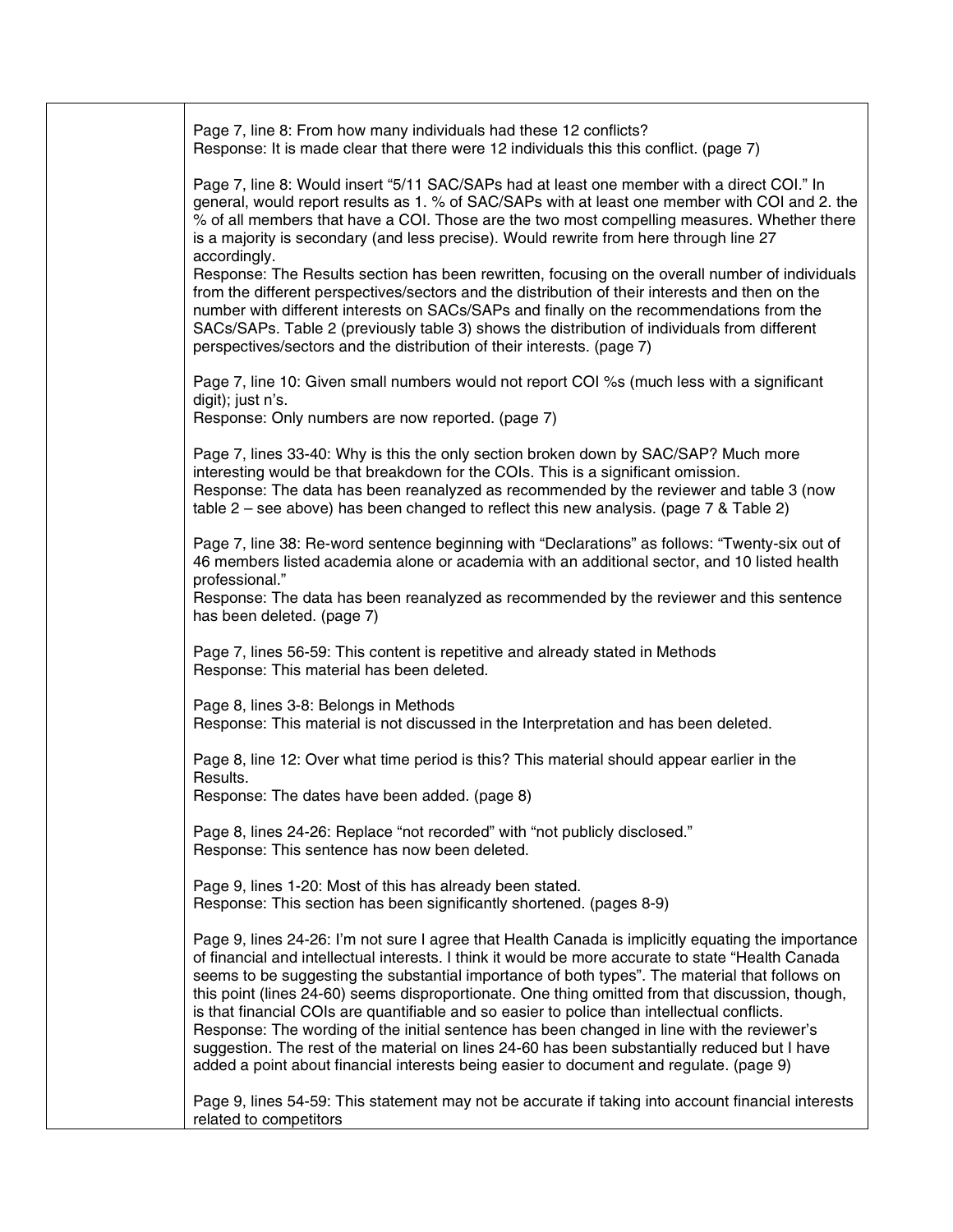| Page 7, line 8: From how many individuals had these 12 conflicts?<br>Response: It is made clear that there were 12 individuals this this conflict. (page 7)                                                                                                                                                                                                                                                                                                                                                                                                                                                                                                                                                                                                                                               |
|-----------------------------------------------------------------------------------------------------------------------------------------------------------------------------------------------------------------------------------------------------------------------------------------------------------------------------------------------------------------------------------------------------------------------------------------------------------------------------------------------------------------------------------------------------------------------------------------------------------------------------------------------------------------------------------------------------------------------------------------------------------------------------------------------------------|
| Page 7, line 8: Would insert "5/11 SAC/SAPs had at least one member with a direct COI." In<br>general, would report results as 1. % of SAC/SAPs with at least one member with COI and 2. the<br>% of all members that have a COI. Those are the two most compelling measures. Whether there<br>is a majority is secondary (and less precise). Would rewrite from here through line 27<br>accordingly.                                                                                                                                                                                                                                                                                                                                                                                                     |
| Response: The Results section has been rewritten, focusing on the overall number of individuals<br>from the different perspectives/sectors and the distribution of their interests and then on the<br>number with different interests on SACs/SAPs and finally on the recommendations from the<br>SACs/SAPs. Table 2 (previously table 3) shows the distribution of individuals from different<br>perspectives/sectors and the distribution of their interests. (page 7)                                                                                                                                                                                                                                                                                                                                  |
| Page 7, line 10: Given small numbers would not report COI %s (much less with a significant<br>digit); just n's.<br>Response: Only numbers are now reported. (page 7)                                                                                                                                                                                                                                                                                                                                                                                                                                                                                                                                                                                                                                      |
| Page 7, lines 33-40: Why is this the only section broken down by SAC/SAP? Much more<br>interesting would be that breakdown for the COIs. This is a significant omission.<br>Response: The data has been reanalyzed as recommended by the reviewer and table 3 (now<br>table $2$ – see above) has been changed to reflect this new analysis. (page 7 & Table 2)                                                                                                                                                                                                                                                                                                                                                                                                                                            |
| Page 7, line 38: Re-word sentence beginning with "Declarations" as follows: "Twenty-six out of<br>46 members listed academia alone or academia with an additional sector, and 10 listed health<br>professional."                                                                                                                                                                                                                                                                                                                                                                                                                                                                                                                                                                                          |
| Response: The data has been reanalyzed as recommended by the reviewer and this sentence<br>has been deleted. (page 7)                                                                                                                                                                                                                                                                                                                                                                                                                                                                                                                                                                                                                                                                                     |
| Page 7, lines 56-59: This content is repetitive and already stated in Methods<br>Response: This material has been deleted.                                                                                                                                                                                                                                                                                                                                                                                                                                                                                                                                                                                                                                                                                |
| Page 8, lines 3-8: Belongs in Methods<br>Response: This material is not discussed in the Interpretation and has been deleted.                                                                                                                                                                                                                                                                                                                                                                                                                                                                                                                                                                                                                                                                             |
| Page 8, line 12: Over what time period is this? This material should appear earlier in the<br>Results.<br>Response: The dates have been added. (page 8)                                                                                                                                                                                                                                                                                                                                                                                                                                                                                                                                                                                                                                                   |
| Page 8, lines 24-26: Replace "not recorded" with "not publicly disclosed."<br>Response: This sentence has now been deleted.                                                                                                                                                                                                                                                                                                                                                                                                                                                                                                                                                                                                                                                                               |
| Page 9, lines 1-20: Most of this has already been stated.<br>Response: This section has been significantly shortened. (pages 8-9)                                                                                                                                                                                                                                                                                                                                                                                                                                                                                                                                                                                                                                                                         |
| Page 9, lines 24-26: I'm not sure I agree that Health Canada is implicitly equating the importance<br>of financial and intellectual interests. I think it would be more accurate to state "Health Canada"<br>seems to be suggesting the substantial importance of both types". The material that follows on<br>this point (lines 24-60) seems disproportionate. One thing omitted from that discussion, though,<br>is that financial COIs are quantifiable and so easier to police than intellectual conflicts.<br>Response: The wording of the initial sentence has been changed in line with the reviewer's<br>suggestion. The rest of the material on lines 24-60 has been substantially reduced but I have<br>added a point about financial interests being easier to document and regulate. (page 9) |
| Page 9, lines 54-59: This statement may not be accurate if taking into account financial interests<br>related to competitors                                                                                                                                                                                                                                                                                                                                                                                                                                                                                                                                                                                                                                                                              |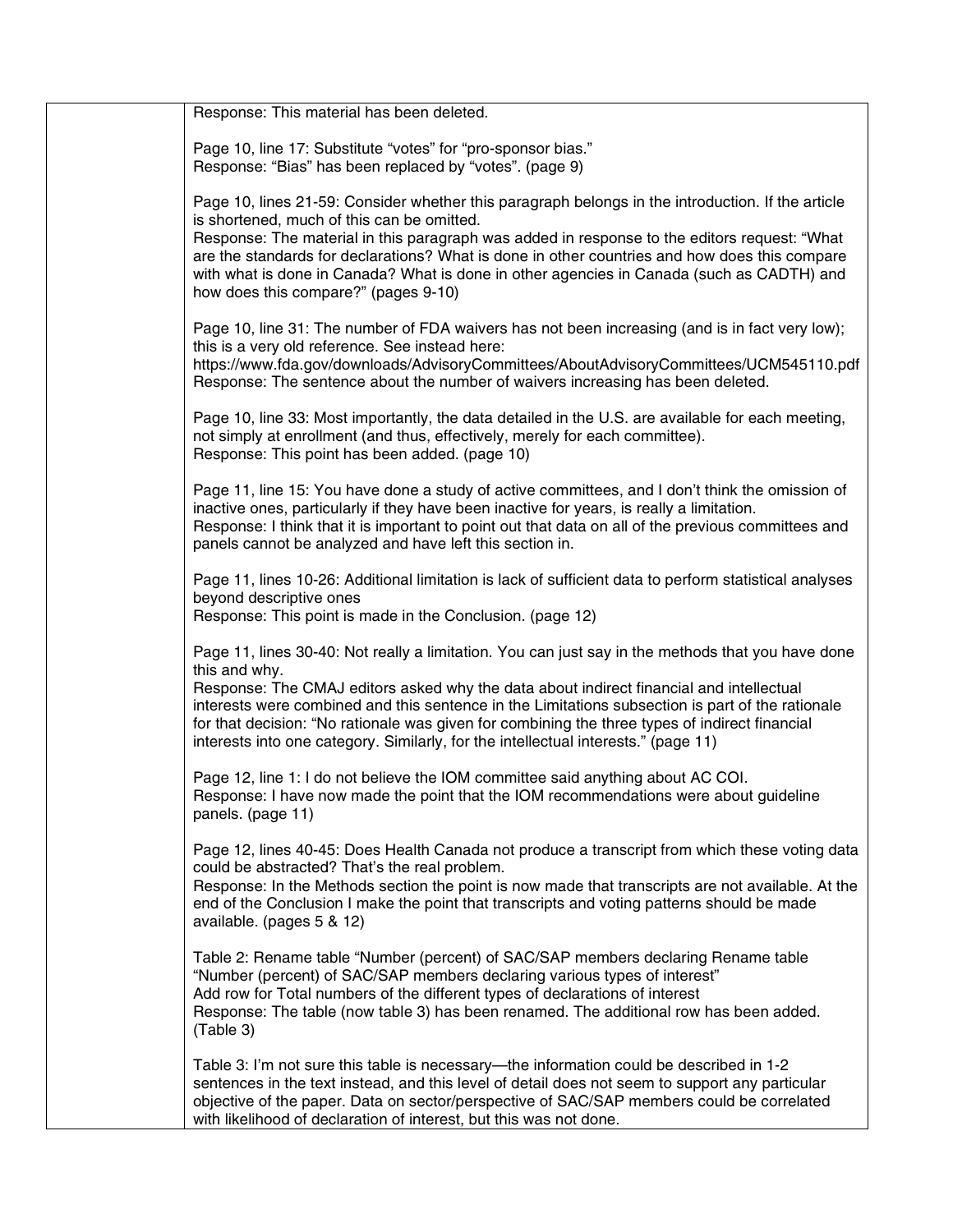| Response: This material has been deleted.                                                                                                                                                                                                                                                                                                                                                                                                                                                                 |
|-----------------------------------------------------------------------------------------------------------------------------------------------------------------------------------------------------------------------------------------------------------------------------------------------------------------------------------------------------------------------------------------------------------------------------------------------------------------------------------------------------------|
|                                                                                                                                                                                                                                                                                                                                                                                                                                                                                                           |
| Page 10, line 17: Substitute "votes" for "pro-sponsor bias."<br>Response: "Bias" has been replaced by "votes". (page 9)                                                                                                                                                                                                                                                                                                                                                                                   |
| Page 10, lines 21-59: Consider whether this paragraph belongs in the introduction. If the article<br>is shortened, much of this can be omitted.                                                                                                                                                                                                                                                                                                                                                           |
| Response: The material in this paragraph was added in response to the editors request: "What<br>are the standards for declarations? What is done in other countries and how does this compare<br>with what is done in Canada? What is done in other agencies in Canada (such as CADTH) and<br>how does this compare?" (pages 9-10)                                                                                                                                                                        |
| Page 10, line 31: The number of FDA waivers has not been increasing (and is in fact very low);<br>this is a very old reference. See instead here:<br>https://www.fda.gov/downloads/AdvisoryCommittees/AboutAdvisoryCommittees/UCM545110.pdf<br>Response: The sentence about the number of waivers increasing has been deleted.                                                                                                                                                                            |
| Page 10, line 33: Most importantly, the data detailed in the U.S. are available for each meeting,<br>not simply at enrollment (and thus, effectively, merely for each committee).<br>Response: This point has been added. (page 10)                                                                                                                                                                                                                                                                       |
| Page 11, line 15: You have done a study of active committees, and I don't think the omission of<br>inactive ones, particularly if they have been inactive for years, is really a limitation.<br>Response: I think that it is important to point out that data on all of the previous committees and<br>panels cannot be analyzed and have left this section in.                                                                                                                                           |
| Page 11, lines 10-26: Additional limitation is lack of sufficient data to perform statistical analyses<br>beyond descriptive ones<br>Response: This point is made in the Conclusion. (page 12)                                                                                                                                                                                                                                                                                                            |
| Page 11, lines 30-40: Not really a limitation. You can just say in the methods that you have done<br>this and why.<br>Response: The CMAJ editors asked why the data about indirect financial and intellectual<br>interests were combined and this sentence in the Limitations subsection is part of the rationale<br>for that decision: "No rationale was given for combining the three types of indirect financial<br>interests into one category. Similarly, for the intellectual interests." (page 11) |
| Page 12, line 1: I do not believe the IOM committee said anything about AC COI.<br>Response: I have now made the point that the IOM recommendations were about guideline<br>panels. (page 11)                                                                                                                                                                                                                                                                                                             |
| Page 12, lines 40-45: Does Health Canada not produce a transcript from which these voting data<br>could be abstracted? That's the real problem.<br>Response: In the Methods section the point is now made that transcripts are not available. At the<br>end of the Conclusion I make the point that transcripts and voting patterns should be made<br>available. (pages 5 & 12)                                                                                                                           |
| Table 2: Rename table "Number (percent) of SAC/SAP members declaring Rename table<br>"Number (percent) of SAC/SAP members declaring various types of interest"<br>Add row for Total numbers of the different types of declarations of interest<br>Response: The table (now table 3) has been renamed. The additional row has been added.<br>(Table 3)                                                                                                                                                     |
| Table 3: I'm not sure this table is necessary—the information could be described in 1-2<br>sentences in the text instead, and this level of detail does not seem to support any particular<br>objective of the paper. Data on sector/perspective of SAC/SAP members could be correlated<br>with likelihood of declaration of interest, but this was not done.                                                                                                                                             |